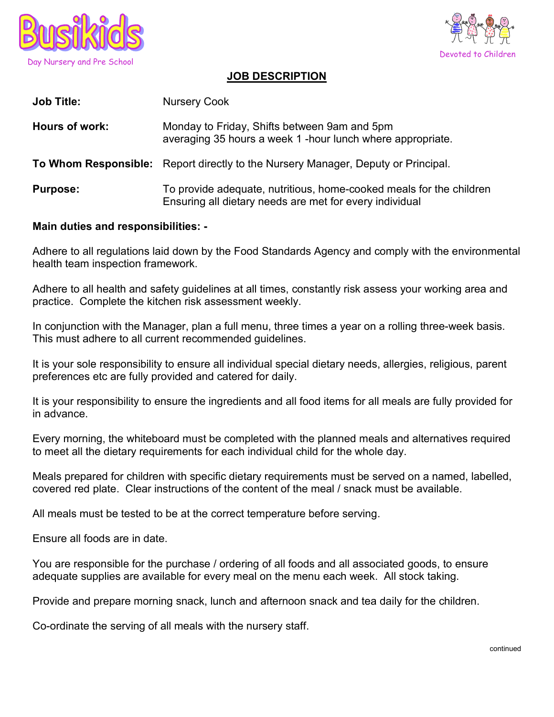



## JOB DESCRIPTION

| <b>Job Title:</b> | <b>Nursery Cook</b>                                                                                                            |
|-------------------|--------------------------------------------------------------------------------------------------------------------------------|
| Hours of work:    | Monday to Friday, Shifts between 9am and 5pm<br>averaging 35 hours a week 1 -hour lunch where appropriate.                     |
|                   | To Whom Responsible: Report directly to the Nursery Manager, Deputy or Principal.                                              |
| <b>Purpose:</b>   | To provide adequate, nutritious, home-cooked meals for the children<br>Ensuring all dietary needs are met for every individual |

## Main duties and responsibilities: -

Adhere to all regulations laid down by the Food Standards Agency and comply with the environmental health team inspection framework.

Adhere to all health and safety guidelines at all times, constantly risk assess your working area and practice. Complete the kitchen risk assessment weekly.

In conjunction with the Manager, plan a full menu, three times a year on a rolling three-week basis. This must adhere to all current recommended guidelines.

It is your sole responsibility to ensure all individual special dietary needs, allergies, religious, parent preferences etc are fully provided and catered for daily.

It is your responsibility to ensure the ingredients and all food items for all meals are fully provided for in advance.

Every morning, the whiteboard must be completed with the planned meals and alternatives required to meet all the dietary requirements for each individual child for the whole day.

Meals prepared for children with specific dietary requirements must be served on a named, labelled, covered red plate. Clear instructions of the content of the meal / snack must be available.

All meals must be tested to be at the correct temperature before serving.

Ensure all foods are in date.

You are responsible for the purchase / ordering of all foods and all associated goods, to ensure adequate supplies are available for every meal on the menu each week. All stock taking.

Provide and prepare morning snack, lunch and afternoon snack and tea daily for the children.

Co-ordinate the serving of all meals with the nursery staff.